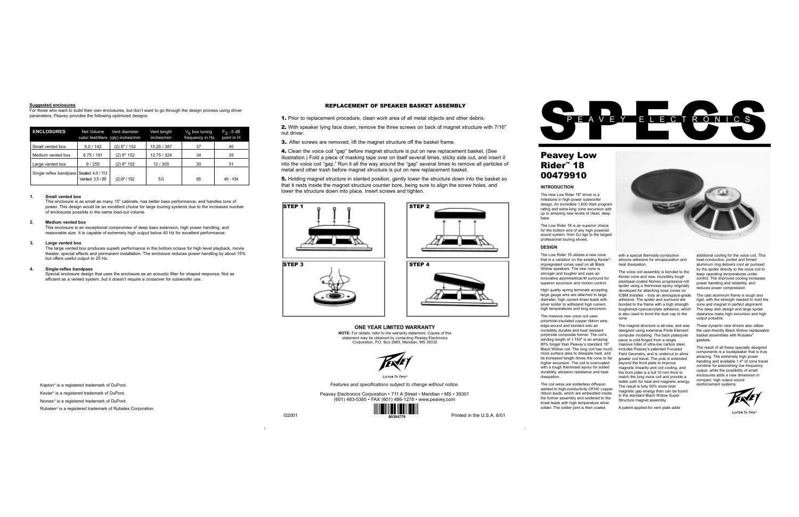# Peavey Low Rider™ 18 00479910

#### **INTRODUCTION**

The new Low Rider 18" driver is a milestone in high-power subwoofer design. An incredible 1,600 Watt program rating and extra-long cone excursion add up to amazing new levels of clean, deep bass.

The Low Rider 18 utilizes a new cone that is a variation on the existing Kevlar® impregnated cones used on all Black Widow speakers. The new cone is stronger and tougher and uses an innovative asymmetrical-M surround for superior excursion and motion control.

The Low Rider 18 is an superior choice for the bottom end of any high powered sound system, from DJ rigs to the largest professional touring shows. **DESIGN**

High quality spring terminals accepting large gauge wire are attached to large diameter, high current tinsel leads with silver solder to withstand high current, high temperatures and long excursion.

The massive new voice coil uses polyimide-insulated copper ribbon wire, edge-wound and bonded onto an incredibly durable and heat resistant polyimide composite former. The coil's winding length of 1.150" is an amazing 80% longer than Peavey's standard 18" Black Widow coil. The long coil has much more surface area to dissipate heat, and its increased length drives the cone to far higher excursion. The coil is overcoated with a tough thermoset epoxy for added durability, abrasion resistance and heat dissipation.

The coil wires are solderless diffusion welded to high-conductivity OFHC copper ribbon leads, which are embedded inside the former assembly and soldered to the tinsel leads with high temperature silver solder. The solder joint is then coated

with a special thermally-conductive silicone adhesive for encapsulation and heat dissipation.

The voice coil assembly is bonded to the Kevlar cone and new, incredibly tough plastiseal-coated Nomex progressive-roll spider using a thermoset epoxy originally developed for attaching nose cones on ICBM missiles – truly an aerospace-grade adhesive. The spider and surround are bonded to the frame with a high strength toughened-cyanoacrylate adhesive, which is also used to bond the dust cap to the cone.

The magnet structure is all-new, and was designed using extensive Finite Element computer modeling. The back plate/pole piece is cold-forged from a single massive billet of ultra-low carbon steel, includes Peavey's patented Focused Field Geometry, and is undercut to allow greater coil travel. The pole is extended beyond the front plate to improve magnetic linearity and coil cooling, and the front plate is a full 10 mm thick to match the long voice coil and provide a better path for heat and magnetic energy. The result is fully 50% more total magnetic gap energy than can be found in the standard Black Widow Super Structure magnet assembly.

Special enclosure design that uses the enclosure as an acoustic filter for shaped response. Not as efficient as a vented system, but it doesn't require a crossover for subwoofer use.

A patent-applied-for vent plate adds

additional cooling for the voice coil. This heat-conductive, ported and finned aluminum ring delivers cool air pumped by the spider directly to the voice coil to keep operating temperatures under control. The improved cooling increases power handling and reliability, and reduces power compression.

The cast aluminum frame is tough and rigid, with the strength needed to hold the cone and magnet in perfect alignment. The deep dish design and large spider clearance make high excursion and high output possible.

4. Clean the voice coil "gap" before magnet structure is put on new replacement basket. (See illustration.) Fold a piece of masking tape over on itself several times, sticky side out, and insert it into the voice coil "gap." Run it all the way around the "gap" several times to remove all particles of metal and other trash before magnet structure is put on new replacement basket.

> These dynamic new drivers also utilize the user-friendly Black Widow replaceable basket assemblies with Rubatex® gaskets.

5. Holding magnet structure in slanted position, gently lower the structure down into the basket so that it rests inside the magnet structure counter bore, being sure to align the screw holes, and lower the structure down into place. Insert screws and tighten.

> The result of all these specially designed components is a loudspeaker that is truly amazing. The extremely high power handling and available 1.4" of cone travel combine for astonishing low frequency output, while the possibility of small enclosures adds a new dimension in compact, high output sound reinforcement systems.



**LISTEN TO THIS** 





| <b>ENCLOSURES</b>                        | Net Volume       | Vent diameter<br>cubic feet/liters (qty) inches/mm | Vent length<br>inches/mm | $V_h$ box tuning<br>frequency in Hz | $F_3$ , -3 dB<br>point in H |
|------------------------------------------|------------------|----------------------------------------------------|--------------------------|-------------------------------------|-----------------------------|
| Small vented box                         | 5.0/142          | $(2)$ 6" / 152                                     | 15.25 / 387              | 37                                  | 40                          |
| Medium vented box                        | 6.75/191         | $(2)$ 6" 152                                       | 12.75 / 324              | 34                                  | 35                          |
| Large vented box                         | 9/255            | $(2)$ 6" 152                                       | 12/305                   | 30                                  | 31                          |
| Single reflex bandpass Sealed: 4.0 / 113 | Vented: 3.5 / 85 | $(2)$ 6" / 152                                     | 5.0                      | 65                                  | $40 - 104$                  |

*Features and specifications subject to change without notice.*

Peavey Electronics Corporation • 711 A Street • Meridian • MS • 39301 (601) 483-5365 • FAX (601) 486-1278 • www.peavey.com



# **ONE YEAR LIMITED WARRANTY**

**NOTE:** For details, refer to the warranty statement. Copies of this statement may be obtained by contacting Peavey Electronics Corporation, P.O. Box 2989, Meridian, MS 39335



 $I$ <sub>ISTEN</sub> To This<sup>\*</sup>

#### **Suggested enclosures**

For those who want to build their own enclosures, but don't want to go through the design process using driver parameters, Peavey provides the following optimized designs:

### **1. Small vented box**

This enclosure is as small as many 15" cabinets, has better bass performance, and handles tons of power. This design would be an excellent choice for large touring systems due to the increased number of enclosures possible in the same load-out volume.

### **2. Medium vented box**

This enclosure is an exceptional compromise of deep bass extension, high power handling, and reasonable size. It is capable of extremely high output below 40 Hz for excellent performance.

#### **3. Large vented box**

The large vented box produces superb performance in the bottom octave for high level playback, movie theater, special effects and permanent installation. The enclosure reduces power handling by about 15% but offers useful output to 25 Hz.

#### **4. Single-reflex bandpass**

Kapton® is a registered trademark of DuPont.

Kevlar® is a registered trademark of DuPont.

Nomex® is a registered trademark of DuPont.

Rubatex® is a registered trademark of Rubatex Corporation.

# REPLACEMENT OF SPEAKER BASKET ASSEMBLY

1. Prior to replacement procedure, clean work area of all metal objects and other debris.

2. With speaker lying face down, remove the three screws on back of magnet structure with 7/16" nut driver.

**3.** After screws are removed, lift the magnet structure off the basket frame.